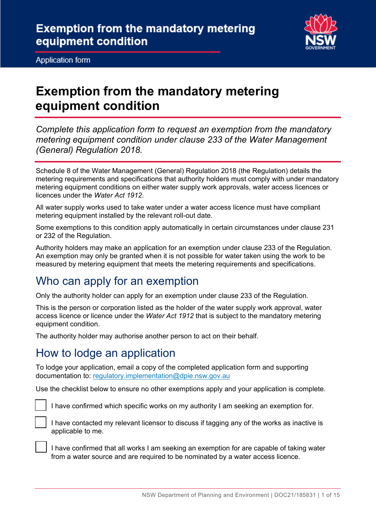

Application form Application form

## **Exemption from the mandatory metering equipment condition**

*Complete this application form to request an exemption from the mandatory metering equipment condition under clause 233 of the Water Management (General) Regulation 2018.* 

 Schedule 8 of the Water Management (General) Regulation 2018 (the Regulation) details the metering requirements and specifications that authority holders must comply with under mandatory metering equipment conditions on either water supply work approvals, water access licences or licences under the *Water Act 1912*.

 All water supply works used to take water under a water access licence must have compliant metering equipment installed by the relevant roll-out date.

 Some exemptions to this condition apply automatically in certain circumstances under clause 231 or 232 of the Regulation.

 Authority holders may make an application for an exemption under clause 233 of the Regulation. An exemption may only be granted when it is not possible for water taken using the work to be measured by metering equipment that meets the metering requirements and specifications.

## Who can apply for an exemption

Only the authority holder can apply for an exemption under clause 233 of the Regulation.

 access licence or licence under the *Water Act 1912* that is subject to the mandatory metering This is the person or corporation listed as the holder of the water supply work approval, water equipment condition.

The authority holder may authorise another person to act on their behalf.

## How to lodge an application

 To lodge your application, email a copy of the completed application form and supporting documentation to: regulatory.implementation@dpie.nsw.gov.au

Use the checklist below to ensure no other exemptions apply and your application is complete.



I have confirmed which specific works on my authority I am seeking an exemption for.



 I have contacted my relevant licensor to discuss if tagging any of the works as inactive is applicable to me.

 I have confirmed that all works I am seeking an exemption for are capable of taking water from a water source and are required to be nominated by a water access licence.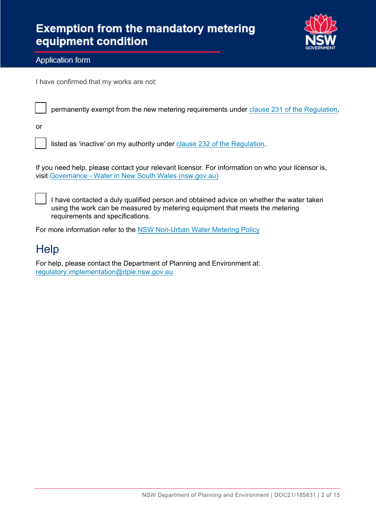

#### Application form Application form

I have confirmed that my works are not:

permanently exempt from the new metering requirements under <u>clause 231 of [the Regulation](https://legislation.nsw.gov.au/view/html/inforce/2021-06-25/sl-2018-0480?query=VersionSeriesId%3D%22d18a49a2-03f1-4ada-b6b7-32247f342e32%22+AND+VersionDescId%3D%228eb57952-19ac-4aac-89d8-8a3d7aa9c07a%22+AND+PrintType%3D%22reprint%22+AND+(VersionDescId%3D%228eb57952-19ac-4aac-89d8-8a3d7aa9c07a%22+AND+VersionSeriesId%3D%22d18a49a2-03f1-4ada-b6b7-32247f342e32%22+AND+PrintType%3D%22reprint%22+AND+Content%3D(%22in+connection+with%22))&dQuery=Document+Types%3D%22%3Cspan+class%3D%27dq-highlight%27%3EActs%3C%2Fspan%3E%2C+%3Cspan+class%3D%27dq-highlight%27%3ERegulations%3C%2Fspan%3E%2C+%3Cspan+class%3D%27dq-highlight%27%3EEPIs%3C%2Fspan%3E%22%2C+Search+In%3D%22%3Cspan+class%3D%27dq-highlight%27%3EAll+Content%3C%2Fspan%3E%22%2C+Exact+Phrase%3D%22%3Cspan+class%3D%27dq-highlight%27%3Ein+connection+with%3C%2Fspan%3E%22%2C+Point+In+Time%3D%22%3Cspan+class%3D%27dq-highlight%27%3E25%2F06%2F2021%3C%2Fspan%3E%22#sec.231)</u>,

or

listed as 'inactive' on my authority under <u>clause 232 of the Regulation</u>.

 visit [Governance -](https://www.industry.nsw.gov.au/water/licensing-trade/governance) Water in New South Wales (nsw.gov.au) If you need help, please contact your relevant licensor. For information on who your licensor is,

 I have contacted a duly qualified person and obtained advice on whether the water taken using the work can be measured by metering equipment that meets the metering requirements and specifications.

For more information refer to the NSW [Non-Urban Water](https://www.industry.nsw.gov.au/__data/assets/pdf_file/0017/312335/nsw-non-urban-water-metering-policy.pdf) Metering Policy

## **Help**

For help, please contact the Department of Planning and Environment at: [regulatory.implementation@dpie.nsw.gov.au](mailto:regulatory.implementation@dpie.nsw.gov.au)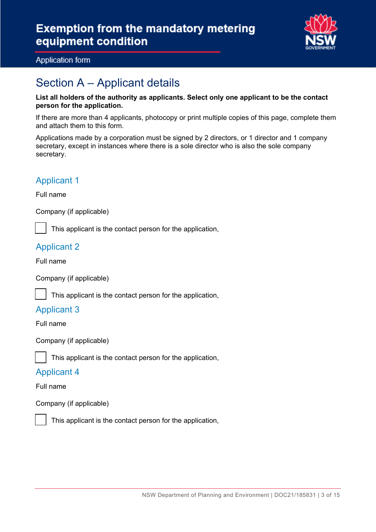

#### Application form

## Section  $A$  – Applicant details

#### **List all holders of the authority as applicants. Select only one applicant to be the contact person for the application.**

 and attach them to this form. If there are more than 4 applicants, photocopy or print multiple copies of this page, complete them

Applications made by a corporation must be signed by 2 directors, or 1 director and 1 company secretary, except in instances where there is a sole director who is also the sole company secretary.

#### Applicant 1

Full name

Company (if applicable)

This applicant is the contact person for the application,

#### Applicant 2

Full name

I

Company (if applicable)

This applicant is the contact person for the application,

#### Applicant 3

Full name

Company (if applicable)

This applicant is the contact person for the application,

#### Applicant 4

Full name

Company (if applicable)



This applicant is the contact person for the application,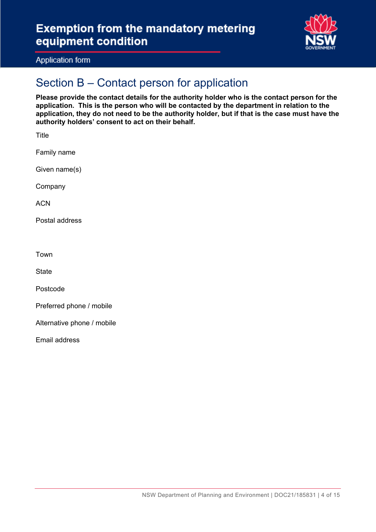

Application form

# Application form<br>Section B – Contact person for application

**Please provide the contact details for the authority holder who is the contact person for the application. This is the person who will be contacted by the department in relation to the application, they do not need to be the authority holder, but if that is the case must have the authority holders' consent to act on their behalf.** 

| additionly holders consent to act on their beham. |
|---------------------------------------------------|
| Title                                             |
| Family name                                       |
| Given name(s)                                     |
| Company                                           |
| <b>ACN</b>                                        |
| Postal address                                    |
|                                                   |
| Town                                              |
| <b>State</b>                                      |
| Postcode                                          |
| Preferred phone / mobile                          |
| Alternative phone / mobile                        |
| Email address                                     |
|                                                   |
|                                                   |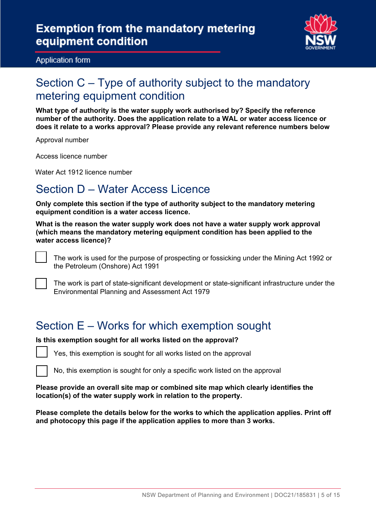

Application form

## Section C – Type of authority subject to the mandatory metering equipment condition

Application form<br>
Section C — Type of authority subject to the mandatory<br>
What type of authority is the water supply work authorised by? Specify the reference<br>
mumber of the authority. Does the application relate to a WAL **What type of authority is the water supply work authorised by? Specify the reference number of the authority. Does the application relate to a WAL or water access licence or does it relate to a works approval? Please provide any relevant reference numbers below** 

Approval number

Access licence number

Water Act 1912 licence number

## Section D – Water Access Licence

**Only complete this section if the type of authority subject to the mandatory metering equipment condition is a water access licence.** 

**What is the reason the water supply work does not have a water supply work approval (which means the mandatory metering equipment condition has been applied to the water access licence)?**



the Petroleum (Onshore) Act 1991

The work is part of state-significant development or state-significant infrastructure under the Environmental Planning and Assessment Act 1979

## Section E – Works for which exemption sought

#### **Is this exemption sought for all works listed on the approval?**

Yes, this exemption is sought for all works listed on the approval

No, this exemption is sought for only a specific work listed on the approval

#### **Please provide an overall site map or combined site map which clearly identifies the location(s) of the water supply work in relation to the property.**

 **and photocopy this page if the application applies to more than 3 works. Please complete the details below for the works to which the application applies. Print off**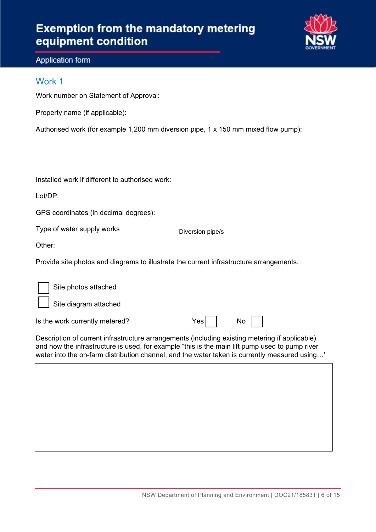## **Exemption from the mandatory metering equipment condition**



#### Application form

#### Work 1

Work number on Statement of Approval:

| Property name (if applicable): |  |
|--------------------------------|--|
|                                |  |

Authorised work (for example 1,200 mm diversion pipe, 1 x 150 mm mixed flow pump):

Installed work if different to authorised work:

Lot/DP:

GPS coordinates (in decimal degrees):

Type of water supply works

Diversion pipe/s

Other:

Provide site photos and diagrams to illustrate the current infrastructure arrangements.

| Site photos attached           |     |    |
|--------------------------------|-----|----|
| Site diagram attached          |     |    |
| Is the work currently metered? | Yes | No |

Description of current infrastructure arrangements (including existing metering if applicable) and how the infrastructure is used, for example "this is the main lift pump used to pump river water into the on-farm distribution channel, and the water taken is currently measured using…'

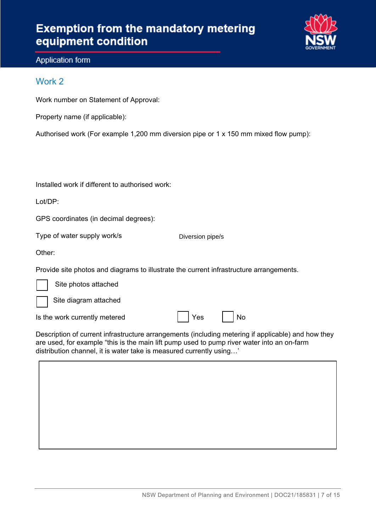

#### Application form Application form

#### Work 2

Work number on Statement of Approval:

| Property name (if applicable): |  |
|--------------------------------|--|
|                                |  |

Authorised work (For example 1,200 mm diversion pipe or 1 x 150 mm mixed flow pump):

Installed work if different to authorised work:

Lot/DP:

GPS coordinates (in decimal degrees):

Type of water supply work/s

Diversion pipe/s

Other:

Ξ

Provide site photos and diagrams to illustrate the current infrastructure arrangements.

Site photos attached

Site diagram attached

Is the work currently metered  $\parallel$  | Yes | | No

 Description of current infrastructure arrangements (including metering if applicable) and how they are used, for example "this is the main lift pump used to pump river water into an on-farm distribution channel, it is water take is measured currently using…'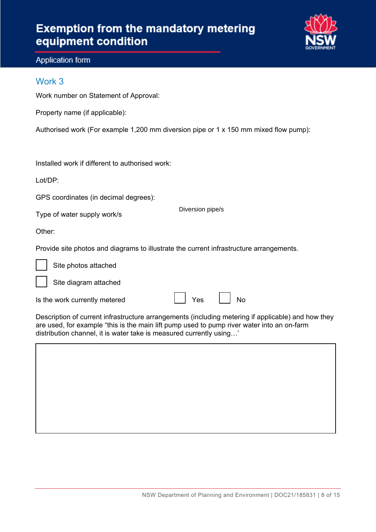

## Application form Application form Work 3

Work number on Statement of Approval:<br>Property name (if applicable):

| Property name (if applicable): |  |  |
|--------------------------------|--|--|
|--------------------------------|--|--|

Authorised work (For example 1,200 mm diversion pipe or 1 x 150 mm mixed flow pump):

Installed work if different to authorised work:<br>Lot/DP:

GPS coordinates (in decimal degrees):

Type of water supply work/s

Diversion pipe/s

Other:

I

I

Provide site photos and diagrams to illustrate the current infrastructure arrangements.

Site photos attached

Site diagram attached

Is the work currently metered Yes No

Yes J

 distribution channel, it is water take is measured currently using…' Description of current infrastructure arrangements (including metering if applicable) and how they are used, for example "this is the main lift pump used to pump river water into an on-farm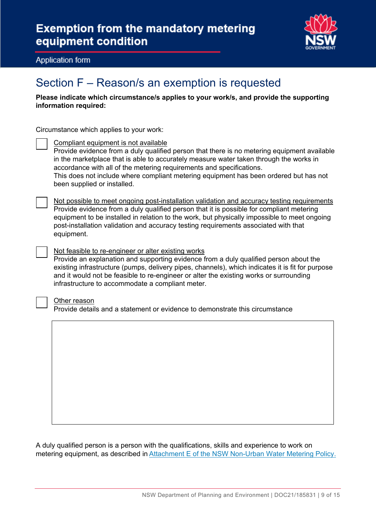

Application form

# Application form<br>Section F – Reason/s an exemption is requested

 **Please indicate which circumstance/s applies to your work/s, and provide the supporting information required:** 

Circumstance which applies to your work:

Compliant equipment is not available

Provide evidence from a duly qualified person that there is no metering equipment available in the marketplace that is able to accurately measure water taken through the works in accordance with all of the metering requirements and specifications. This does not include where compliant metering equipment has been ordered but has not been supplied or installed.

Not possible to meet ongoing post-installation validation and accuracy testing requirements Provide evidence from a duly qualified person that it is possible for compliant metering equipment to be installed in relation to the work, but physically impossible to meet ongoing post-installation validation and accuracy testing requirements associated with that equipment.

Not feasible to re-engineer or alter existing works Provide an explanation and supporting evidence from a duly qualified person about the existing infrastructure (pumps, delivery pipes, channels), which indicates it is fit for purpose and it would not be feasible to re-engineer or alter the existing works or surrounding

#### Other reason

Provide details and a statement or evidence to demonstrate this circumstance

infrastructure to accommodate a compliant meter.

A duly qualified person is a person with the qualifications, skills and experience to work on metering equipment, as described in Attachment E [of the NSW Non-Urban Water Metering Policy.](https://www.industry.nsw.gov.au/__data/assets/pdf_file/0016/312361/NSW-non-urban-water-metering-policy.pdf)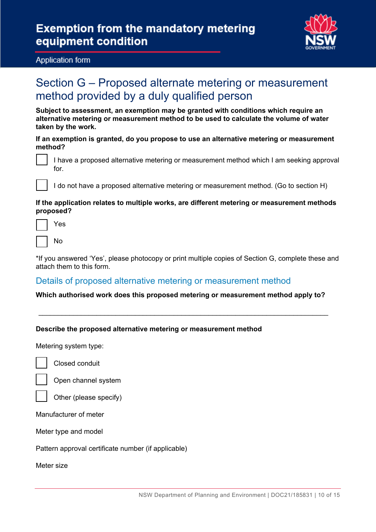

#### Application form

## method provided by a duly qualified person Section G – Proposed alternate metering or measurement

**Subject to assessment, an exemption may be granted with conditions which require an alternative metering or measurement method to be used to calculate the volume of water taken by the work.** 

#### **If an exemption is granted, do you propose to use an alternative metering or measurement method?**

I have a proposed alternative metering or measurement method which I am seeking approval for.



I do not have a proposed alternative metering or measurement method. (Go to section H)

#### **If the application relates to multiple works, are different metering or measurement methods proposed?**

 $\overline{\phantom{a}}$ Yes

|--|

 attach them to this form. \*If you answered 'Yes', please photocopy or print multiple copies of Section G, complete these and

#### Details of proposed alternative metering or measurement method

#### **Which authorised work does this proposed metering or measurement method apply to?**

\_\_\_\_\_\_\_\_\_\_\_\_\_\_\_\_\_\_\_\_\_\_\_\_\_\_\_\_\_\_\_\_\_\_\_\_\_\_\_\_\_\_\_\_\_\_\_\_\_\_\_\_\_\_\_\_\_\_\_\_\_\_\_\_\_\_\_\_\_\_\_\_\_\_\_

#### **Describe the proposed alternative metering or measurement method**

Metering system type:



Closed conduit



Open channel system



Manufacturer of meter

Meter type and model

Pattern approval certificate number (if applicable)

Meter size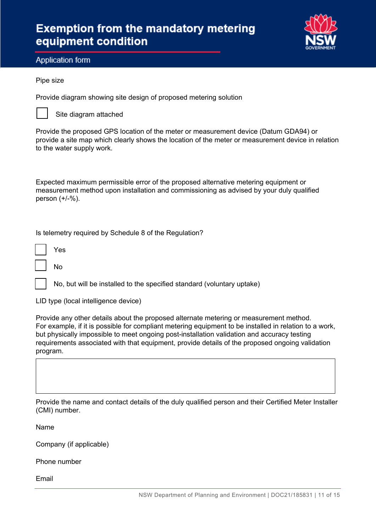

Application form Application form

#### Pipe size

Provide diagram showing site design of proposed metering solution



Site diagram attached

Provide the proposed GPS location of the meter or measurement device (Datum GDA94) or provide a site map which clearly shows the location of the meter or measurement device in relation to the water supply work.

Expected maximum permissible error of the proposed alternative metering equipment or measurement method upon installation and commissioning as advised by your duly qualified person (+/-%).

Is telemetry required by Schedule 8 of the Regulation?

I Yes

I

No

No, but will be installed to the specified standard (voluntary uptake)

LID type (local intelligence device)

Provide any other details about the proposed alternate metering or measurement method. For example, if it is possible for compliant metering equipment to be installed in relation to a work, but physically impossible to meet ongoing post-installation validation and accuracy testing requirements associated with that equipment, provide details of the proposed ongoing validation program.

Provide the name and contact details of the duly qualified person and their Certified Meter Installer (CMI) number.

Name

Company (if applicable)

Phone number

Email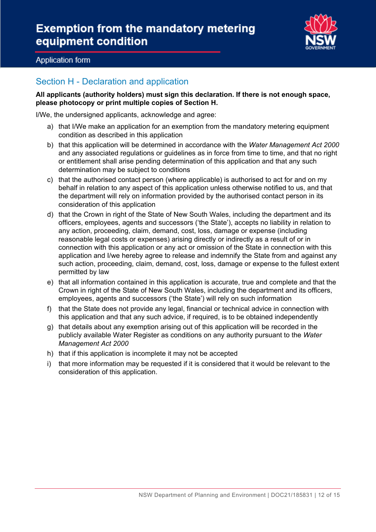

#### Application form

#### Section H - Declaration and application

 **All applicants (authority holders) must sign this declaration. If there is not enough space, please photocopy or print multiple copies of Section H.** 

I/We, the undersigned applicants, acknowledge and agree:

- a) that I/We make an application for an exemption from the mandatory metering equipment condition as described in this application
- b) that this application will be determined in accordance with the *Water Management Act 2000*  and any associated regulations or guidelines as in force from time to time, and that no right or entitlement shall arise pending determination of this application and that any such determination may be subject to conditions
- c) that the authorised contact person (where applicable) is authorised to act for and on my behalf in relation to any aspect of this application unless otherwise notified to us, and that the department will rely on information provided by the authorised contact person in its consideration of this application
- d) that the Crown in right of the State of New South Wales, including the department and its officers, employees, agents and successors ('the State'), accepts no liability in relation to any action, proceeding, claim, demand, cost, loss, damage or expense (including reasonable legal costs or expenses) arising directly or indirectly as a result of or in connection with this application or any act or omission of the State in connection with this application and I/we hereby agree to release and indemnify the State from and against any such action, proceeding, claim, demand, cost, loss, damage or expense to the fullest extent permitted by law
- employees, agents and successors ('the State') will rely on such information e) that all information contained in this application is accurate, true and complete and that the Crown in right of the State of New South Wales, including the department and its officers,
- f) that the State does not provide any legal, financial or technical advice in connection with this application and that any such advice, if required, is to be obtained independently
- g) that details about any exemption arising out of this application will be recorded in the publicly available Water Register as conditions on any authority pursuant to the *Water Management Act 2000*
- h) that if this application is incomplete it may not be accepted
- i) that more information may be requested if it is considered that it would be relevant to the consideration of this application.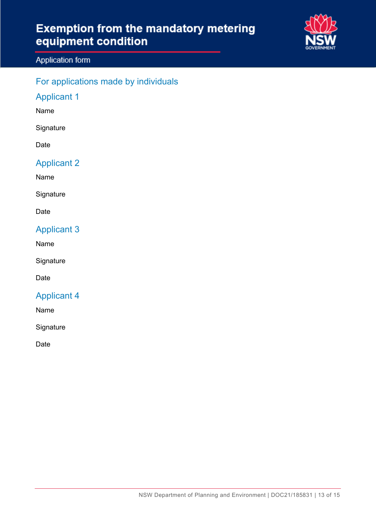

#### Application form

### For applications made by individuals

### Applicant 1

Name

**Signature** 

Date

#### Applicant 2

Name

**Signature** 

Date

### Applicant 3

Name

**Signature** 

Date

### Applicant 4

Name

**Signature** 

Date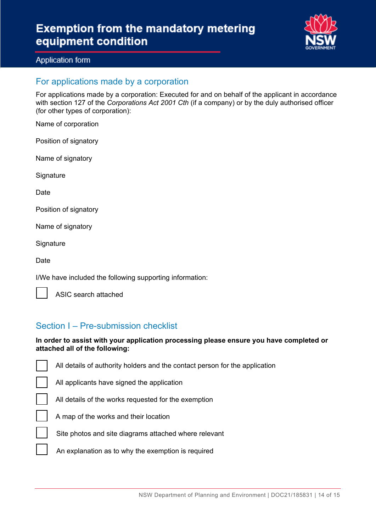

#### Application form

#### For applications made by a corporation

For applications made by a corporation: Executed for and on behalf of the applicant in accordance with section 127 of the *Corporations Act 2001 Cth* (if a company) or by the duly authorised officer (for other types of corporation):

Name of corporation

Position of signatory

Name of signatory

**Signature** 

**Date** 

Position of signatory

Name of signatory

**Signature** 

**Date** 

 $\overline{\phantom{a}}$ 

I/We have included the following supporting information:

ASIC search attached

#### Section I – Pre-submission checklist

#### **In order to assist with your application processing please ensure you have completed or attached all of the following:**

  $\overline{\phantom{a}}$  $\overline{\phantom{a}}$  $\overline{\phantom{a}}$  $\overline{\phantom{a}}$  $\overline{\phantom{a}}$ All details of authority holders and the contact person for the application All applicants have signed the application All details of the works requested for the exemption A map of the works and their location Site photos and site diagrams attached where relevant An explanation as to why the exemption is required